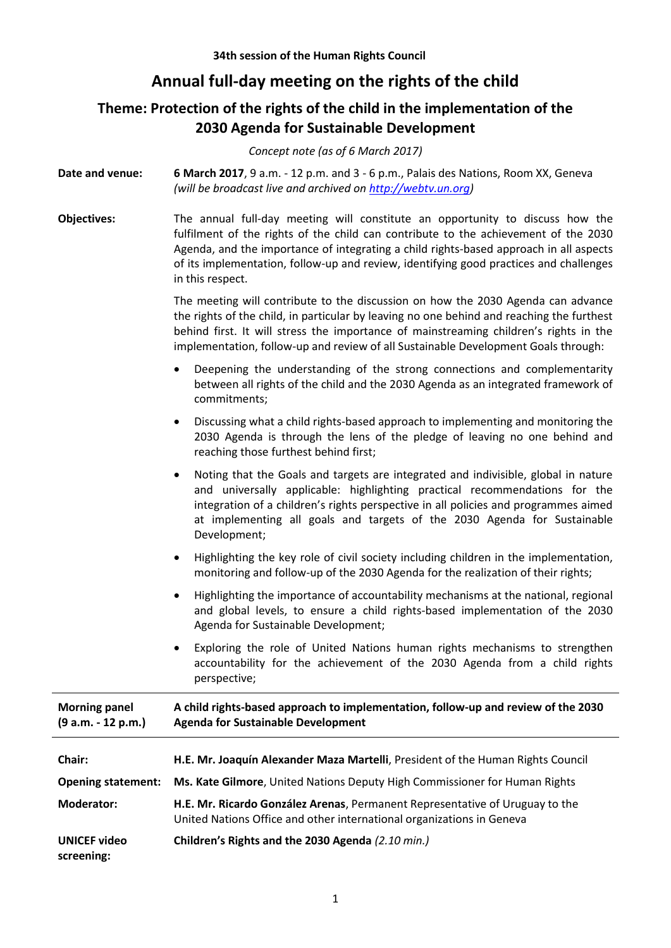## **Annual full-day meeting on the rights of the child**

## **Theme: Protection of the rights of the child in the implementation of the 2030 Agenda for Sustainable Development**

*Concept note (as of 6 March 2017)*

**Date and venue: 6 March 2017**, 9 a.m. - 12 p.m. and 3 - 6 p.m., Palais des Nations[, Room XX,](http://www.unog.ch/80256EE60057CB67/(httpRooms)/4C2700FCE9684AD780256EF9005A65FE?OpenDocument&unid=BAE3AF717207A5AF80256EF80049C552) Geneva *(will be broadcast live and archived o[n http://webtv.un.org\)](http://webtv.un.org/)*

**Objectives:** The annual full-day meeting will constitute an opportunity to discuss how the fulfilment of the rights of the child can contribute to the achievement of the 2030 Agenda, and the importance of integrating a child rights-based approach in all aspects of its implementation, follow-up and review, identifying good practices and challenges in this respect.

> The meeting will contribute to the discussion on how the 2030 Agenda can advance the rights of the child, in particular by leaving no one behind and reaching the furthest behind first. It will stress the importance of mainstreaming children's rights in the implementation, follow-up and review of all Sustainable Development Goals through:

- Deepening the understanding of the strong connections and complementarity between all rights of the child and the 2030 Agenda as an integrated framework of commitments;
- Discussing what a child rights-based approach to implementing and monitoring the 2030 Agenda is through the lens of the pledge of leaving no one behind and reaching those furthest behind first;
- Noting that the Goals and targets are integrated and indivisible, global in nature and universally applicable: highlighting practical recommendations for the integration of a children's rights perspective in all policies and programmes aimed at implementing all goals and targets of the 2030 Agenda for Sustainable Development;
- Highlighting the key role of civil society including children in the implementation, monitoring and follow-up of the 2030 Agenda for the realization of their rights;
- Highlighting the importance of accountability mechanisms at the national, regional and global levels, to ensure a child rights-based implementation of the 2030 Agenda for Sustainable Development;
- Exploring the role of United Nations human rights mechanisms to strengthen accountability for the achievement of the 2030 Agenda from a child rights perspective;

| <b>Morning panel</b><br>$(9 a.m. - 12 p.m.)$ | A child rights-based approach to implementation, follow-up and review of the 2030<br><b>Agenda for Sustainable Development</b>                        |
|----------------------------------------------|-------------------------------------------------------------------------------------------------------------------------------------------------------|
| Chair:                                       | H.E. Mr. Joaquín Alexander Maza Martelli, President of the Human Rights Council                                                                       |
| <b>Opening statement:</b>                    | Ms. Kate Gilmore, United Nations Deputy High Commissioner for Human Rights                                                                            |
| <b>Moderator:</b>                            | H.E. Mr. Ricardo González Arenas, Permanent Representative of Uruguay to the<br>United Nations Office and other international organizations in Geneva |
| <b>UNICEF video</b><br>screening:            | Children's Rights and the 2030 Agenda (2.10 min.)                                                                                                     |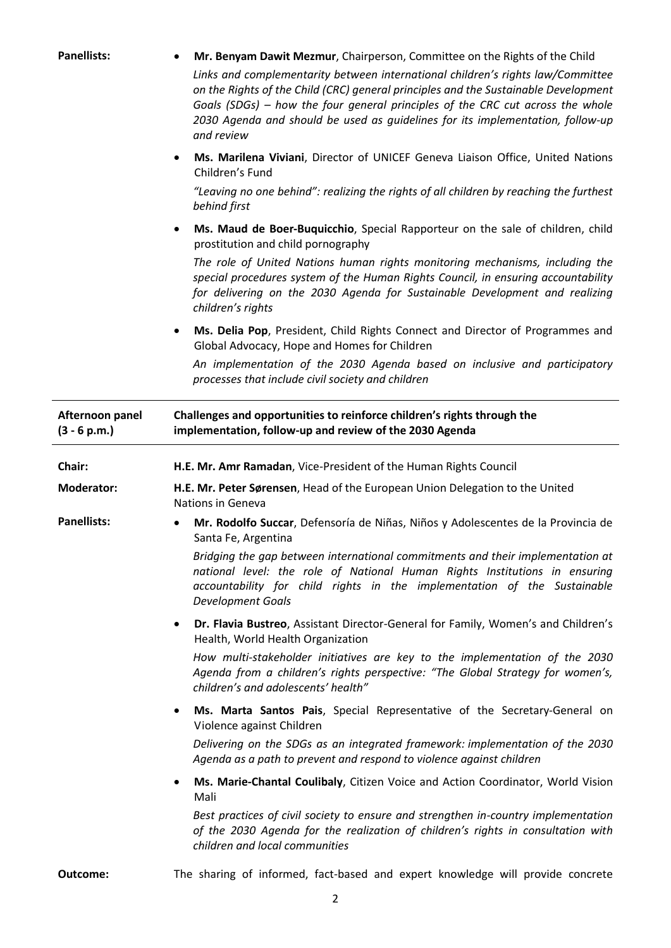| <b>Panellists:</b>                | Mr. Benyam Dawit Mezmur, Chairperson, Committee on the Rights of the Child<br>Links and complementarity between international children's rights law/Committee<br>on the Rights of the Child (CRC) general principles and the Sustainable Development<br>Goals (SDGs) – how the four general principles of the CRC cut across the whole<br>2030 Agenda and should be used as guidelines for its implementation, follow-up<br>and review |
|-----------------------------------|----------------------------------------------------------------------------------------------------------------------------------------------------------------------------------------------------------------------------------------------------------------------------------------------------------------------------------------------------------------------------------------------------------------------------------------|
|                                   | Ms. Marilena Viviani, Director of UNICEF Geneva Liaison Office, United Nations<br>$\bullet$<br>Children's Fund                                                                                                                                                                                                                                                                                                                         |
|                                   | "Leaving no one behind": realizing the rights of all children by reaching the furthest<br>behind first                                                                                                                                                                                                                                                                                                                                 |
|                                   | Ms. Maud de Boer-Buquicchio, Special Rapporteur on the sale of children, child<br>٠<br>prostitution and child pornography                                                                                                                                                                                                                                                                                                              |
|                                   | The role of United Nations human rights monitoring mechanisms, including the<br>special procedures system of the Human Rights Council, in ensuring accountability<br>for delivering on the 2030 Agenda for Sustainable Development and realizing<br>children's rights                                                                                                                                                                  |
|                                   | Ms. Delia Pop, President, Child Rights Connect and Director of Programmes and<br>٠<br>Global Advocacy, Hope and Homes for Children                                                                                                                                                                                                                                                                                                     |
|                                   | An implementation of the 2030 Agenda based on inclusive and participatory<br>processes that include civil society and children                                                                                                                                                                                                                                                                                                         |
| Afternoon panel<br>$(3 - 6 p.m.)$ | Challenges and opportunities to reinforce children's rights through the<br>implementation, follow-up and review of the 2030 Agenda                                                                                                                                                                                                                                                                                                     |
| Chair:                            | H.E. Mr. Amr Ramadan, Vice-President of the Human Rights Council                                                                                                                                                                                                                                                                                                                                                                       |
| <b>Moderator:</b>                 | H.E. Mr. Peter Sørensen, Head of the European Union Delegation to the United<br>Nations in Geneva                                                                                                                                                                                                                                                                                                                                      |
| <b>Panellists:</b>                | Mr. Rodolfo Succar, Defensoría de Niñas, Niños y Adolescentes de la Provincia de<br>Santa Fe, Argentina                                                                                                                                                                                                                                                                                                                                |
|                                   | Bridging the gap between international commitments and their implementation at<br>national level: the role of National Human Rights Institutions in ensuring<br>accountability for child rights in the implementation of the Sustainable<br><b>Development Goals</b>                                                                                                                                                                   |
|                                   | Dr. Flavia Bustreo, Assistant Director-General for Family, Women's and Children's<br>٠<br>Health, World Health Organization                                                                                                                                                                                                                                                                                                            |
|                                   | How multi-stakeholder initiatives are key to the implementation of the 2030<br>Agenda from a children's rights perspective: "The Global Strategy for women's,<br>children's and adolescents' health"                                                                                                                                                                                                                                   |
|                                   | Ms. Marta Santos Pais, Special Representative of the Secretary-General on<br>٠<br>Violence against Children                                                                                                                                                                                                                                                                                                                            |
|                                   | Delivering on the SDGs as an integrated framework: implementation of the 2030<br>Agenda as a path to prevent and respond to violence against children                                                                                                                                                                                                                                                                                  |
|                                   | Ms. Marie-Chantal Coulibaly, Citizen Voice and Action Coordinator, World Vision<br>٠<br>Mali                                                                                                                                                                                                                                                                                                                                           |
|                                   | Best practices of civil society to ensure and strengthen in-country implementation<br>of the 2030 Agenda for the realization of children's rights in consultation with<br>children and local communities                                                                                                                                                                                                                               |
| Outcome:                          | The sharing of informed, fact-based and expert knowledge will provide concrete                                                                                                                                                                                                                                                                                                                                                         |